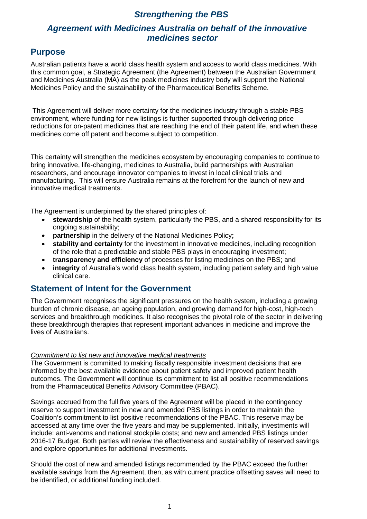## *Strengthening the PBS*

# *Agreement with Medicines Australia on behalf of the innovative medicines sector*

# **Purpose**

Australian patients have a world class health system and access to world class medicines. With this common goal, a Strategic Agreement (the Agreement) between the Australian Government and Medicines Australia (MA) as the peak medicines industry body will support the National Medicines Policy and the sustainability of the Pharmaceutical Benefits Scheme.

This Agreement will deliver more certainty for the medicines industry through a stable PBS environment, where funding for new listings is further supported through delivering price reductions for on-patent medicines that are reaching the end of their patent life, and when these medicines come off patent and become subject to competition.

This certainty will strengthen the medicines ecosystem by encouraging companies to continue to bring innovative, life-changing, medicines to Australia, build partnerships with Australian researchers, and encourage innovator companies to invest in local clinical trials and manufacturing. This will ensure Australia remains at the forefront for the launch of new and innovative medical treatments.

The Agreement is underpinned by the shared principles of:

- **stewardship** of the health system, particularly the PBS, and a shared responsibility for its ongoing sustainability;
- **partnership** in the delivery of the National Medicines Policy**;**
- **stability and certainty** for the investment in innovative medicines, including recognition of the role that a predictable and stable PBS plays in encouraging investment;
- **transparency and efficiency** of processes for listing medicines on the PBS; and
- **integrity** of Australia's world class health system, including patient safety and high value clinical care.

### **Statement of Intent for the Government**

The Government recognises the significant pressures on the health system, including a growing burden of chronic disease, an ageing population, and growing demand for high-cost, high-tech services and breakthrough medicines. It also recognises the pivotal role of the sector in delivering these breakthrough therapies that represent important advances in medicine and improve the lives of Australians.

### *Commitment to list new and innovative medical treatments*

The Government is committed to making fiscally responsible investment decisions that are informed by the best available evidence about patient safety and improved patient health outcomes. The Government will continue its commitment to list all positive recommendations from the Pharmaceutical Benefits Advisory Committee (PBAC).

Savings accrued from the full five years of the Agreement will be placed in the contingency reserve to support investment in new and amended PBS listings in order to maintain the Coalition's commitment to list positive recommendations of the PBAC. This reserve may be accessed at any time over the five years and may be supplemented. Initially, investments will include: anti-venoms and national stockpile costs; and new and amended PBS listings under 2016-17 Budget. Both parties will review the effectiveness and sustainability of reserved savings and explore opportunities for additional investments.

Should the cost of new and amended listings recommended by the PBAC exceed the further available savings from the Agreement, then, as with current practice offsetting saves will need to be identified, or additional funding included.